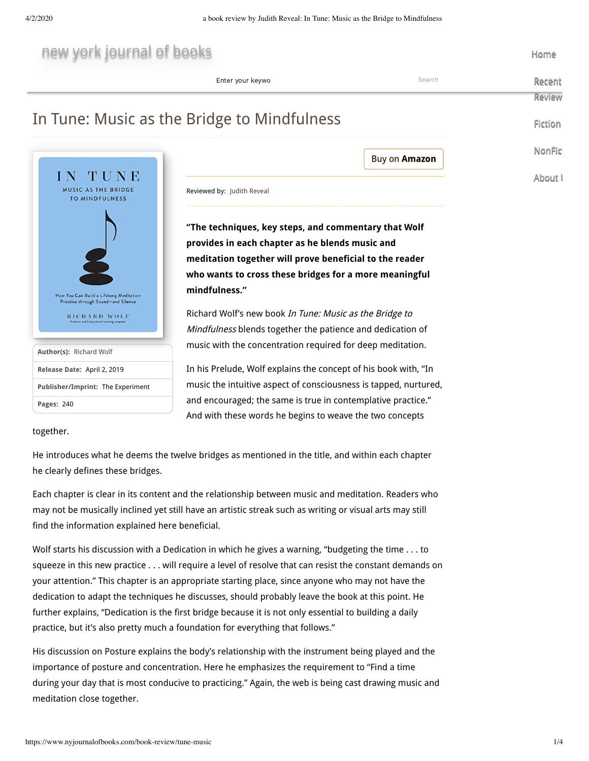| new york journal of books                                                     |                                                                  |                      | Home    |  |
|-------------------------------------------------------------------------------|------------------------------------------------------------------|----------------------|---------|--|
|                                                                               | Enter your keywo                                                 | Search               | Recen   |  |
|                                                                               |                                                                  |                      | Reviey  |  |
|                                                                               | In Tune: Music as the Bridge to Mindfulness                      |                      | Fictior |  |
|                                                                               |                                                                  | <b>Buy on Amazon</b> | NonFi   |  |
| UNE                                                                           |                                                                  |                      |         |  |
| MUSIC AS THE BRIDGE                                                           | Reviewed by: Judith Reveal                                       |                      | About   |  |
| <b>TO MINDFULNESS</b>                                                         |                                                                  |                      |         |  |
|                                                                               | "The techniques, key steps, and commentary that Wolf             |                      |         |  |
|                                                                               | provides in each chapter as he blends music and                  |                      |         |  |
|                                                                               | meditation together will prove beneficial to the reader          |                      |         |  |
|                                                                               | who wants to cross these bridges for a more meaningful           |                      |         |  |
| How You Can Build a Lifelong Meditation<br>Practice through Sound-and Silence | mindfulness."                                                    |                      |         |  |
| RICHARD WOLF<br>Producer and Emery Award-winning composer                     | Richard Wolf's new book In Tune: Music as the Bridge to          |                      |         |  |
|                                                                               | Mindfulness blends together the patience and dedication of       |                      |         |  |
| Author(s): Richard Wolf                                                       | music with the concentration required for deep meditation.       |                      |         |  |
| Release Date: April 2, 2019                                                   | In his Prelude, Wolf explains the concept of his book with, "In  |                      |         |  |
| Publisher/Imprint: The Experiment                                             | music the intuitive aspect of consciousness is tapped, nurtured, |                      |         |  |
| Pages: 240                                                                    | and encouraged; the same is true in contemplative practice."     |                      |         |  |

And with these words he begins to weave the two concepts

together.

He introduces what he deems the twelve bridges as mentioned in the title, and within each chapter he clearly defines these bridges.

Each chapter is clear in its content and the relationship between music and meditation. Readers who may not be musically inclined yet still have an artistic streak such as writing or visual arts may still find the information explained here beneficial.

Wolf starts his discussion with a Dedication in which he gives a warning, "budgeting the time . . . to squeeze in this new practice . . . will require a level of resolve that can resist the constant demands on your attention." This chapter is an appropriate starting place, since anyone who may not have the dedication to adapt the techniques he discusses, should probably leave the book at this point. He further explains, "Dedication is the first bridge because it is not only essential to building a daily practice, but it's also pretty much a foundation for everything that follows."

His discussion on Posture explains the body's relationship with the instrument being played and the importance of posture and concentration. Here he emphasizes the requirement to "Find a time during your day that is most conducive to practicing." Again, the web is being cast drawing music and meditation close together.

[Recent](https://www.nyjournalofbooks.com/recent-reviews) Review

[Fiction](https://www.nyjournalofbooks.com/fiction)

**[NonFict](https://www.nyjournalofbooks.com/nonfiction)** 

[About U](https://www.nyjournalofbooks.com/about-us)